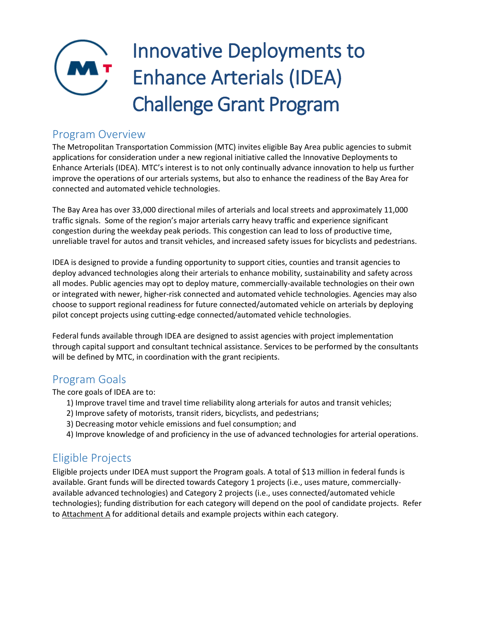# Innovative Deployments to Enhance Arterials (IDEA) Challenge Grant Program

### Program Overview

The Metropolitan Transportation Commission (MTC) invites eligible Bay Area public agencies to submit applications for consideration under a new regional initiative called the Innovative Deployments to Enhance Arterials (IDEA). MTC's interest is to not only continually advance innovation to help us further improve the operations of our arterials systems, but also to enhance the readiness of the Bay Area for connected and automated vehicle technologies.

The Bay Area has over 33,000 directional miles of arterials and local streets and approximately 11,000 traffic signals. Some of the region's major arterials carry heavy traffic and experience significant congestion during the weekday peak periods. This congestion can lead to loss of productive time, unreliable travel for autos and transit vehicles, and increased safety issues for bicyclists and pedestrians.

IDEA is designed to provide a funding opportunity to support cities, counties and transit agencies to deploy advanced technologies along their arterials to enhance mobility, sustainability and safety across all modes. Public agencies may opt to deploy mature, commercially-available technologies on their own or integrated with newer, higher-risk connected and automated vehicle technologies. Agencies may also choose to support regional readiness for future connected/automated vehicle on arterials by deploying pilot concept projects using cutting-edge connected/automated vehicle technologies.

Federal funds available through IDEA are designed to assist agencies with project implementation through capital support and consultant technical assistance. Services to be performed by the consultants will be defined by MTC, in coordination with the grant recipients.

## Program Goals

The core goals of IDEA are to:

- 1) Improve travel time and travel time reliability along arterials for autos and transit vehicles;
- 2) Improve safety of motorists, transit riders, bicyclists, and pedestrians;
- 3) Decreasing motor vehicle emissions and fuel consumption; and
- 4) Improve knowledge of and proficiency in the use of advanced technologies for arterial operations.

## Eligible Projects

Eligible projects under IDEA must support the Program goals. A total of \$13 million in federal funds is available. Grant funds will be directed towards Category 1 projects (i.e., uses mature, commerciallyavailable advanced technologies) and Category 2 projects (i.e., uses connected/automated vehicle technologies); funding distribution for each category will depend on the pool of candidate projects. Refer to Attachment A for additional details and example projects within each category.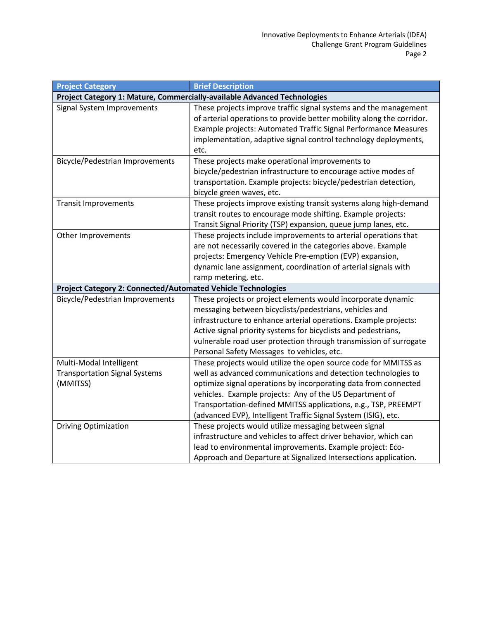| <b>Project Category</b>                                                  | <b>Brief Description</b>                                              |  |  |
|--------------------------------------------------------------------------|-----------------------------------------------------------------------|--|--|
| Project Category 1: Mature, Commercially-available Advanced Technologies |                                                                       |  |  |
| Signal System Improvements                                               | These projects improve traffic signal systems and the management      |  |  |
|                                                                          | of arterial operations to provide better mobility along the corridor. |  |  |
|                                                                          | Example projects: Automated Traffic Signal Performance Measures       |  |  |
|                                                                          | implementation, adaptive signal control technology deployments,       |  |  |
|                                                                          | etc.                                                                  |  |  |
| <b>Bicycle/Pedestrian Improvements</b>                                   | These projects make operational improvements to                       |  |  |
|                                                                          | bicycle/pedestrian infrastructure to encourage active modes of        |  |  |
|                                                                          | transportation. Example projects: bicycle/pedestrian detection,       |  |  |
|                                                                          | bicycle green waves, etc.                                             |  |  |
| <b>Transit Improvements</b>                                              | These projects improve existing transit systems along high-demand     |  |  |
|                                                                          | transit routes to encourage mode shifting. Example projects:          |  |  |
|                                                                          | Transit Signal Priority (TSP) expansion, queue jump lanes, etc.       |  |  |
| Other Improvements                                                       | These projects include improvements to arterial operations that       |  |  |
|                                                                          | are not necessarily covered in the categories above. Example          |  |  |
|                                                                          | projects: Emergency Vehicle Pre-emption (EVP) expansion,              |  |  |
|                                                                          | dynamic lane assignment, coordination of arterial signals with        |  |  |
|                                                                          | ramp metering, etc.                                                   |  |  |
| Project Category 2: Connected/Automated Vehicle Technologies             |                                                                       |  |  |
| <b>Bicycle/Pedestrian Improvements</b>                                   | These projects or project elements would incorporate dynamic          |  |  |
|                                                                          | messaging between bicyclists/pedestrians, vehicles and                |  |  |
|                                                                          | infrastructure to enhance arterial operations. Example projects:      |  |  |
|                                                                          | Active signal priority systems for bicyclists and pedestrians,        |  |  |
|                                                                          | vulnerable road user protection through transmission of surrogate     |  |  |
|                                                                          | Personal Safety Messages to vehicles, etc.                            |  |  |
| Multi-Modal Intelligent                                                  | These projects would utilize the open source code for MMITSS as       |  |  |
| <b>Transportation Signal Systems</b>                                     | well as advanced communications and detection technologies to         |  |  |
| (MMITSS)                                                                 | optimize signal operations by incorporating data from connected       |  |  |
|                                                                          | vehicles. Example projects: Any of the US Department of               |  |  |
|                                                                          | Transportation-defined MMITSS applications, e.g., TSP, PREEMPT        |  |  |
|                                                                          | (advanced EVP), Intelligent Traffic Signal System (ISIG), etc.        |  |  |
| <b>Driving Optimization</b>                                              | These projects would utilize messaging between signal                 |  |  |
|                                                                          | infrastructure and vehicles to affect driver behavior, which can      |  |  |
|                                                                          | lead to environmental improvements. Example project: Eco-             |  |  |
|                                                                          | Approach and Departure at Signalized Intersections application.       |  |  |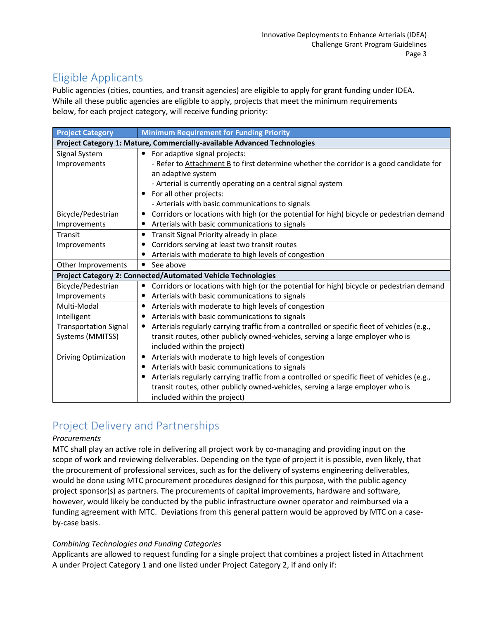## Eligible Applicants

Public agencies (cities, counties, and transit agencies) are eligible to apply for grant funding under IDEA. While all these public agencies are eligible to apply, projects that meet the minimum requirements below, for each project category, will receive funding priority:

| <b>Project Category</b>                                                  | <b>Minimum Requirement for Funding Priority</b>                                                        |  |
|--------------------------------------------------------------------------|--------------------------------------------------------------------------------------------------------|--|
| Project Category 1: Mature, Commercially-available Advanced Technologies |                                                                                                        |  |
| Signal System                                                            | For adaptive signal projects:<br>$\bullet$                                                             |  |
| Improvements                                                             | - Refer to Attachment B to first determine whether the corridor is a good candidate for                |  |
|                                                                          | an adaptive system                                                                                     |  |
|                                                                          | - Arterial is currently operating on a central signal system                                           |  |
|                                                                          | For all other projects:                                                                                |  |
|                                                                          | - Arterials with basic communications to signals                                                       |  |
| Bicycle/Pedestrian                                                       | Corridors or locations with high (or the potential for high) bicycle or pedestrian demand<br>$\bullet$ |  |
| Improvements                                                             | Arterials with basic communications to signals                                                         |  |
| Transit                                                                  | Transit Signal Priority already in place<br>$\bullet$                                                  |  |
| Improvements                                                             | Corridors serving at least two transit routes                                                          |  |
|                                                                          | Arterials with moderate to high levels of congestion                                                   |  |
| Other Improvements                                                       | See above<br>$\bullet$                                                                                 |  |
|                                                                          | <b>Project Category 2: Connected/Automated Vehicle Technologies</b>                                    |  |
| Bicycle/Pedestrian                                                       | Corridors or locations with high (or the potential for high) bicycle or pedestrian demand<br>$\bullet$ |  |
| Improvements                                                             | Arterials with basic communications to signals                                                         |  |
| Multi-Modal                                                              | Arterials with moderate to high levels of congestion                                                   |  |
| Intelligent                                                              | Arterials with basic communications to signals                                                         |  |
| <b>Transportation Signal</b>                                             | Arterials regularly carrying traffic from a controlled or specific fleet of vehicles (e.g.,            |  |
| Systems (MMITSS)                                                         | transit routes, other publicly owned-vehicles, serving a large employer who is                         |  |
|                                                                          | included within the project)                                                                           |  |
| <b>Driving Optimization</b>                                              | Arterials with moderate to high levels of congestion                                                   |  |
|                                                                          | Arterials with basic communications to signals                                                         |  |
|                                                                          | Arterials regularly carrying traffic from a controlled or specific fleet of vehicles (e.g.,            |  |
|                                                                          | transit routes, other publicly owned-vehicles, serving a large employer who is                         |  |
|                                                                          | included within the project)                                                                           |  |

# Project Delivery and Partnerships

#### *Procurements*

MTC shall play an active role in delivering all project work by co-managing and providing input on the scope of work and reviewing deliverables. Depending on the type of project it is possible, even likely, that the procurement of professional services, such as for the delivery of systems engineering deliverables, would be done using MTC procurement procedures designed for this purpose, with the public agency project sponsor(s) as partners. The procurements of capital improvements, hardware and software, however, would likely be conducted by the public infrastructure owner operator and reimbursed via a funding agreement with MTC. Deviations from this general pattern would be approved by MTC on a caseby-case basis.

#### *Combining Technologies and Funding Categories*

Applicants are allowed to request funding for a single project that combines a project listed in Attachment A under Project Category 1 and one listed under Project Category 2, if and only if: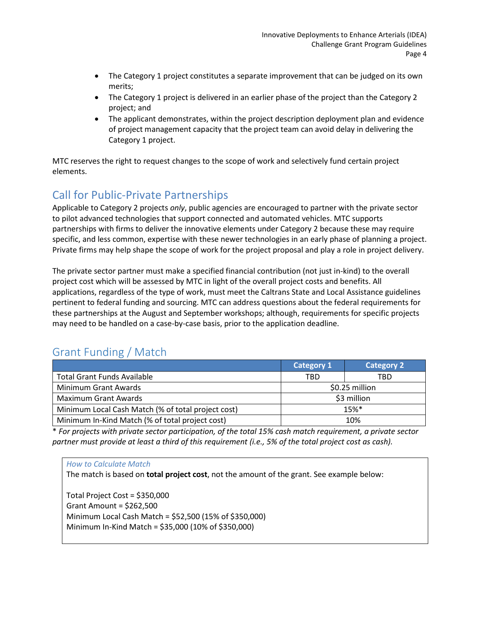- The Category 1 project constitutes a separate improvement that can be judged on its own merits;
- The Category 1 project is delivered in an earlier phase of the project than the Category 2 project; and
- The applicant demonstrates, within the project description deployment plan and evidence of project management capacity that the project team can avoid delay in delivering the Category 1 project.

MTC reserves the right to request changes to the scope of work and selectively fund certain project elements.

## Call for Public-Private Partnerships

Applicable to Category 2 projects *only*, public agencies are encouraged to partner with the private sector to pilot advanced technologies that support connected and automated vehicles. MTC supports partnerships with firms to deliver the innovative elements under Category 2 because these may require specific, and less common, expertise with these newer technologies in an early phase of planning a project. Private firms may help shape the scope of work for the project proposal and play a role in project delivery.

The private sector partner must make a specified financial contribution (not just in-kind) to the overall project cost which will be assessed by MTC in light of the overall project costs and benefits. All applications, regardless of the type of work, must meet the Caltrans State and Local Assistance guidelines pertinent to federal funding and sourcing. MTC can address questions about the federal requirements for these partnerships at the August and September workshops; although, requirements for specific projects may need to be handled on a case-by-case basis, prior to the application deadline.

# Grant Funding / Match

|                                                                          | <b>Category 1</b> | <b>Category 2</b> |
|--------------------------------------------------------------------------|-------------------|-------------------|
| <b>Total Grant Funds Available</b>                                       | TBD               | TBD               |
| Minimum Grant Awards                                                     |                   | \$0.25 million    |
| Maximum Grant Awards                                                     | \$3 million       |                   |
| Minimum Local Cash Match (% of total project cost)<br>$15%$ <sup>*</sup> |                   |                   |
| Minimum In-Kind Match (% of total project cost)                          | 10%               |                   |

\* *For projects with private sector participation, of the total 15% cash match requirement, a private sector partner must provide at least a third of this requirement (i.e., 5% of the total project cost as cash).*

*How to Calculate Match* The match is based on **total project cost**, not the amount of the grant. See example below: Total Project Cost = \$350,000 Grant Amount = \$262,500 Minimum Local Cash Match = \$52,500 (15% of \$350,000) Minimum In-Kind Match = \$35,000 (10% of \$350,000)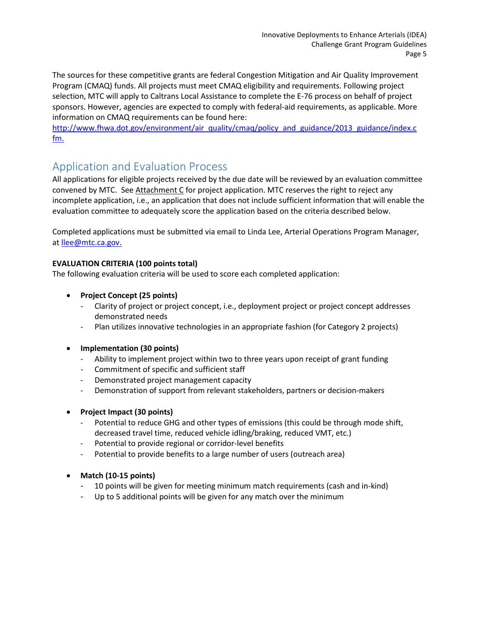The sources for these competitive grants are federal Congestion Mitigation and Air Quality Improvement Program (CMAQ) funds. All projects must meet CMAQ eligibility and requirements. Following project selection, MTC will apply to Caltrans Local Assistance to complete the E-76 process on behalf of project sponsors. However, agencies are expected to comply with federal-aid requirements, as applicable. More information on CMAQ requirements can be found here:

[http://www.fhwa.dot.gov/environment/air\\_quality/cmaq/policy\\_and\\_guidance/2013\\_guidance/index.c](http://www.fhwa.dot.gov/environment/air_quality/cmaq/policy_and_guidance/2013_guidance/index.cfm) [fm.](http://www.fhwa.dot.gov/environment/air_quality/cmaq/policy_and_guidance/2013_guidance/index.cfm)

## Application and Evaluation Process

All applications for eligible projects received by the due date will be reviewed by an evaluation committee convened by MTC. See Attachment C for project application. MTC reserves the right to reject any incomplete application, i.e., an application that does not include sufficient information that will enable the evaluation committee to adequately score the application based on the criteria described below.

Completed applications must be submitted via email to Linda Lee, Arterial Operations Program Manager, at [llee@mtc.ca.gov.](mailto:llee@mtc.ca.gov)

#### **EVALUATION CRITERIA (100 points total)**

The following evaluation criteria will be used to score each completed application:

- **Project Concept (25 points)**
	- Clarity of project or project concept, i.e., deployment project or project concept addresses demonstrated needs
	- Plan utilizes innovative technologies in an appropriate fashion (for Category 2 projects)
- **Implementation (30 points)**
	- Ability to implement project within two to three years upon receipt of grant funding
	- Commitment of specific and sufficient staff
	- Demonstrated project management capacity
	- Demonstration of support from relevant stakeholders, partners or decision-makers
- **Project Impact (30 points)**
	- Potential to reduce GHG and other types of emissions (this could be through mode shift, decreased travel time, reduced vehicle idling/braking, reduced VMT, etc.)
	- Potential to provide regional or corridor-level benefits
	- Potential to provide benefits to a large number of users (outreach area)
- **Match (10-15 points)**
	- 10 points will be given for meeting minimum match requirements (cash and in-kind)
	- Up to 5 additional points will be given for any match over the minimum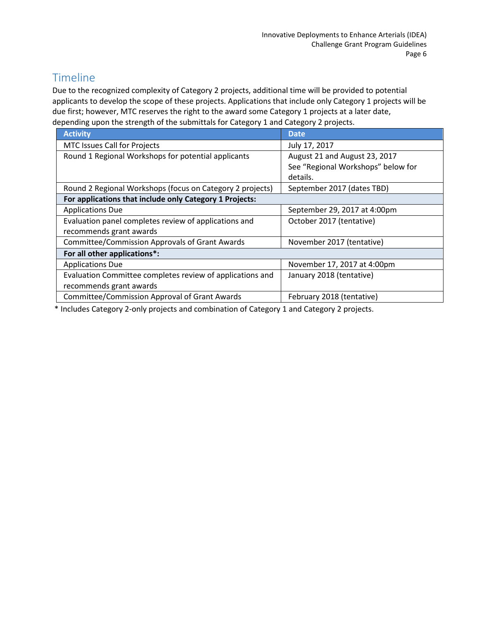## Timeline

Due to the recognized complexity of Category 2 projects, additional time will be provided to potential applicants to develop the scope of these projects. Applications that include only Category 1 projects will be due first; however, MTC reserves the right to the award some Category 1 projects at a later date, depending upon the strength of the submittals for Category 1 and Category 2 projects.

| <b>Activity</b>                                           | <b>Date</b>                        |  |
|-----------------------------------------------------------|------------------------------------|--|
| <b>MTC Issues Call for Projects</b>                       | July 17, 2017                      |  |
| Round 1 Regional Workshops for potential applicants       | August 21 and August 23, 2017      |  |
|                                                           | See "Regional Workshops" below for |  |
|                                                           | details.                           |  |
| Round 2 Regional Workshops (focus on Category 2 projects) | September 2017 (dates TBD)         |  |
| For applications that include only Category 1 Projects:   |                                    |  |
| <b>Applications Due</b>                                   | September 29, 2017 at 4:00pm       |  |
| Evaluation panel completes review of applications and     | October 2017 (tentative)           |  |
| recommends grant awards                                   |                                    |  |
| <b>Committee/Commission Approvals of Grant Awards</b>     | November 2017 (tentative)          |  |
| For all other applications*:                              |                                    |  |
| <b>Applications Due</b>                                   | November 17, 2017 at 4:00pm        |  |
| Evaluation Committee completes review of applications and | January 2018 (tentative)           |  |
| recommends grant awards                                   |                                    |  |
| <b>Committee/Commission Approval of Grant Awards</b>      | February 2018 (tentative)          |  |
|                                                           |                                    |  |

\* Includes Category 2-only projects and combination of Category 1 and Category 2 projects.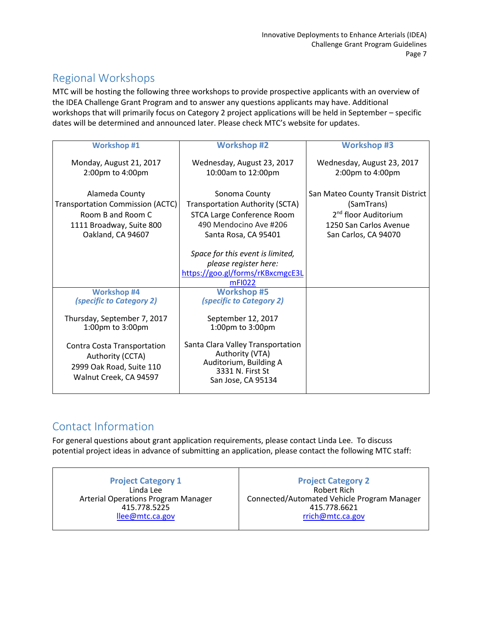## Regional Workshops

MTC will be hosting the following three workshops to provide prospective applicants with an overview of the IDEA Challenge Grant Program and to answer any questions applicants may have. Additional workshops that will primarily focus on Category 2 project applications will be held in September – specific dates will be determined and announced later. Please check MTC's website for updates.

| <b>Workshop #1</b>                                                                                                              | <b>Workshop #2</b>                                                                                                                      | <b>Workshop #3</b>                                                                                                                    |
|---------------------------------------------------------------------------------------------------------------------------------|-----------------------------------------------------------------------------------------------------------------------------------------|---------------------------------------------------------------------------------------------------------------------------------------|
| Monday, August 21, 2017<br>2:00pm to 4:00pm                                                                                     | Wednesday, August 23, 2017<br>10:00am to 12:00pm                                                                                        | Wednesday, August 23, 2017<br>2:00pm to 4:00pm                                                                                        |
| Alameda County<br><b>Transportation Commission (ACTC)</b><br>Room B and Room C<br>1111 Broadway, Suite 800<br>Oakland, CA 94607 | Sonoma County<br>Transportation Authority (SCTA)<br><b>STCA Large Conference Room</b><br>490 Mendocino Ave #206<br>Santa Rosa, CA 95401 | San Mateo County Transit District<br>(SamTrans)<br>2 <sup>nd</sup> floor Auditorium<br>1250 San Carlos Avenue<br>San Carlos, CA 94070 |
|                                                                                                                                 | Space for this event is limited,<br>please register here:<br>https://goo.gl/forms/rKBxcmgcE3L<br>mF1022                                 |                                                                                                                                       |
| <b>Workshop #4</b><br><i>(specific to Category 2)</i>                                                                           | <b>Workshop #5</b><br><i>(specific to Category 2)</i>                                                                                   |                                                                                                                                       |
| Thursday, September 7, 2017<br>1:00pm to 3:00pm                                                                                 | September 12, 2017<br>1:00pm to 3:00pm                                                                                                  |                                                                                                                                       |
| Contra Costa Transportation<br>Authority (CCTA)<br>2999 Oak Road, Suite 110<br>Walnut Creek, CA 94597                           | Santa Clara Valley Transportation<br>Authority (VTA)<br>Auditorium, Building A<br>3331 N. First St<br>San Jose, CA 95134                |                                                                                                                                       |

## Contact Information

For general questions about grant application requirements, please contact Linda Lee. To discuss potential project ideas in advance of submitting an application, please contact the following MTC staff:

**Project Category 1** Linda Lee Arterial Operations Program Manager 415.778.5225 [llee@mtc.ca.gov](mailto:llee@mtc.ca.gov)

**Project Category 2** Robert Rich Connected/Automated Vehicle Program Manager 415.778.6621 [rrich@mtc.ca.gov](mailto:rrich@mtc.ca.gov)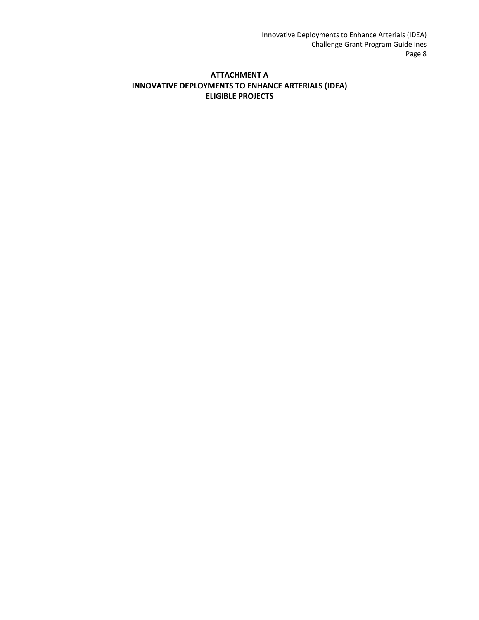#### **ATTACHMENT A INNOVATIVE DEPLOYMENTS TO ENHANCE ARTERIALS (IDEA) ELIGIBLE PROJECTS**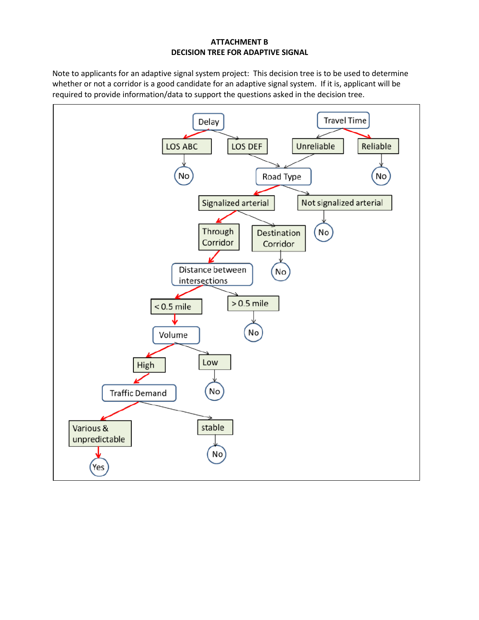#### **ATTACHMENT B DECISION TREE FOR ADAPTIVE SIGNAL**

Note to applicants for an adaptive signal system project: This decision tree is to be used to determine whether or not a corridor is a good candidate for an adaptive signal system. If it is, applicant will be required to provide information/data to support the questions asked in the decision tree.

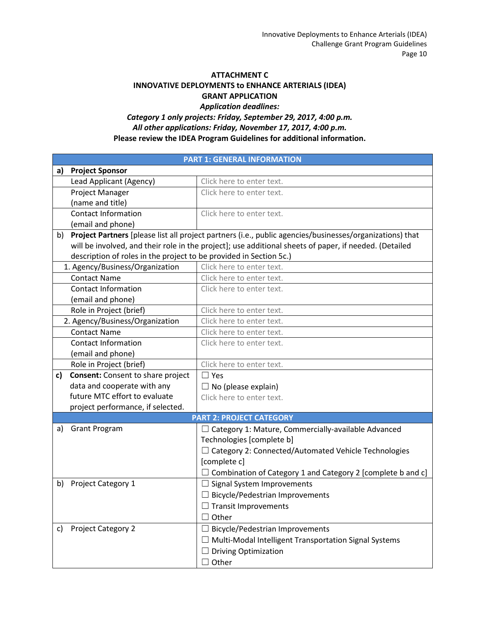#### **ATTACHMENT C INNOVATIVE DEPLOYMENTS to ENHANCE ARTERIALS (IDEA) GRANT APPLICATION**

#### *Application deadlines: Category 1 only projects: Friday, September 29, 2017, 4:00 p.m. All other applications: Friday, November 17, 2017, 4:00 p.m.* **Please review the IDEA Program Guidelines for additional information.**

| <b>PART 1: GENERAL INFORMATION</b>                                                                             |  |  |
|----------------------------------------------------------------------------------------------------------------|--|--|
| <b>Project Sponsor</b><br>a)                                                                                   |  |  |
| Lead Applicant (Agency)<br>Click here to enter text.                                                           |  |  |
| Project Manager<br>Click here to enter text.                                                                   |  |  |
| (name and title)                                                                                               |  |  |
| <b>Contact Information</b><br>Click here to enter text.                                                        |  |  |
| (email and phone)                                                                                              |  |  |
| Project Partners [please list all project partners (i.e., public agencies/businesses/organizations) that<br>b) |  |  |
| will be involved, and their role in the project]; use additional sheets of paper, if needed. (Detailed         |  |  |
| description of roles in the project to be provided in Section 5c.)                                             |  |  |
| 1. Agency/Business/Organization<br>Click here to enter text.                                                   |  |  |
| <b>Contact Name</b><br>Click here to enter text.                                                               |  |  |
| <b>Contact Information</b><br>Click here to enter text.                                                        |  |  |
| (email and phone)                                                                                              |  |  |
| Role in Project (brief)<br>Click here to enter text.                                                           |  |  |
| 2. Agency/Business/Organization<br>Click here to enter text.                                                   |  |  |
| <b>Contact Name</b><br>Click here to enter text.                                                               |  |  |
| <b>Contact Information</b><br>Click here to enter text.                                                        |  |  |
| (email and phone)                                                                                              |  |  |
| Role in Project (brief)<br>Click here to enter text.                                                           |  |  |
| <b>Consent:</b> Consent to share project<br>c)<br>$\Box$ Yes                                                   |  |  |
| data and cooperate with any<br>$\Box$ No (please explain)                                                      |  |  |
| future MTC effort to evaluate<br>Click here to enter text.                                                     |  |  |
| project performance, if selected.                                                                              |  |  |
| <b>PART 2: PROJECT CATEGORY</b>                                                                                |  |  |
| <b>Grant Program</b><br>$\Box$ Category 1: Mature, Commercially-available Advanced<br>a)                       |  |  |
| Technologies [complete b]                                                                                      |  |  |
| □ Category 2: Connected/Automated Vehicle Technologies                                                         |  |  |
| [complete c]                                                                                                   |  |  |
| Combination of Category 1 and Category 2 [complete b and c]                                                    |  |  |
| <b>Project Category 1</b><br>b)<br>$\Box$ Signal System Improvements                                           |  |  |
| $\Box$ Bicycle/Pedestrian Improvements                                                                         |  |  |
| <b>Transit Improvements</b>                                                                                    |  |  |
| Other                                                                                                          |  |  |
| <b>Project Category 2</b><br><b>Bicycle/Pedestrian Improvements</b><br>C)                                      |  |  |
| $\Box$ Multi-Modal Intelligent Transportation Signal Systems                                                   |  |  |
| <b>Driving Optimization</b>                                                                                    |  |  |
| Other                                                                                                          |  |  |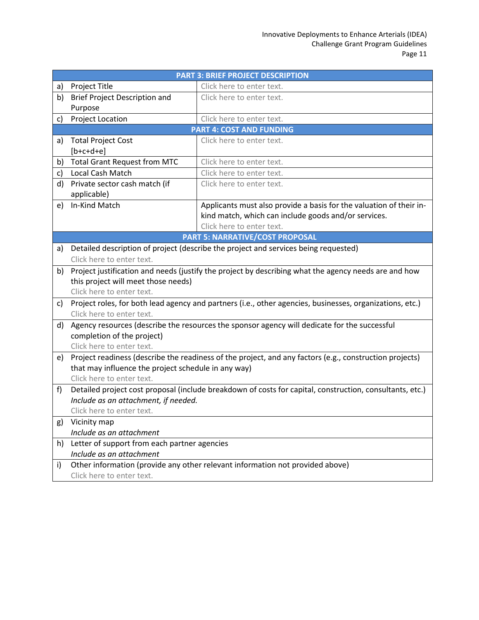|    | <b>PART 3: BRIEF PROJECT DESCRIPTION</b>                                                                         |                                                                                                          |  |
|----|------------------------------------------------------------------------------------------------------------------|----------------------------------------------------------------------------------------------------------|--|
| a) | Project Title                                                                                                    | Click here to enter text.                                                                                |  |
| b) | Brief Project Description and                                                                                    | Click here to enter text.                                                                                |  |
|    | Purpose                                                                                                          |                                                                                                          |  |
| c) | <b>Project Location</b>                                                                                          | Click here to enter text.                                                                                |  |
|    | <b>PART 4: COST AND FUNDING</b>                                                                                  |                                                                                                          |  |
| a) | <b>Total Project Cost</b>                                                                                        | Click here to enter text.                                                                                |  |
|    | $[b+c+d+e]$                                                                                                      |                                                                                                          |  |
| b) | <b>Total Grant Request from MTC</b>                                                                              | Click here to enter text.                                                                                |  |
| C) | Local Cash Match                                                                                                 | Click here to enter text.                                                                                |  |
| d) | Private sector cash match (if                                                                                    | Click here to enter text.                                                                                |  |
|    | applicable)                                                                                                      |                                                                                                          |  |
| e) | In-Kind Match                                                                                                    | Applicants must also provide a basis for the valuation of their in-                                      |  |
|    |                                                                                                                  | kind match, which can include goods and/or services.<br>Click here to enter text.                        |  |
|    |                                                                                                                  | <b>PART 5: NARRATIVE/COST PROPOSAL</b>                                                                   |  |
| a) |                                                                                                                  |                                                                                                          |  |
|    | Detailed description of project (describe the project and services being requested)<br>Click here to enter text. |                                                                                                          |  |
| b) | Project justification and needs (justify the project by describing what the agency needs are and how             |                                                                                                          |  |
|    | this project will meet those needs)                                                                              |                                                                                                          |  |
|    | Click here to enter text.                                                                                        |                                                                                                          |  |
| C) | Project roles, for both lead agency and partners (i.e., other agencies, businesses, organizations, etc.)         |                                                                                                          |  |
|    | Click here to enter text.                                                                                        |                                                                                                          |  |
| d) |                                                                                                                  | Agency resources (describe the resources the sponsor agency will dedicate for the successful             |  |
|    | completion of the project)                                                                                       |                                                                                                          |  |
|    | Click here to enter text.                                                                                        |                                                                                                          |  |
| e) | Project readiness (describe the readiness of the project, and any factors (e.g., construction projects)          |                                                                                                          |  |
|    | that may influence the project schedule in any way)                                                              |                                                                                                          |  |
|    | Click here to enter text.                                                                                        |                                                                                                          |  |
| f) |                                                                                                                  | Detailed project cost proposal (include breakdown of costs for capital, construction, consultants, etc.) |  |
|    | Include as an attachment, if needed.                                                                             |                                                                                                          |  |
|    | Click here to enter text.                                                                                        |                                                                                                          |  |
| g) | Vicinity map<br>Include as an attachment                                                                         |                                                                                                          |  |
|    | Letter of support from each partner agencies                                                                     |                                                                                                          |  |
| h) | Include as an attachment                                                                                         |                                                                                                          |  |
| i) |                                                                                                                  | Other information (provide any other relevant information not provided above)                            |  |
|    | Click here to enter text.                                                                                        |                                                                                                          |  |
|    |                                                                                                                  |                                                                                                          |  |